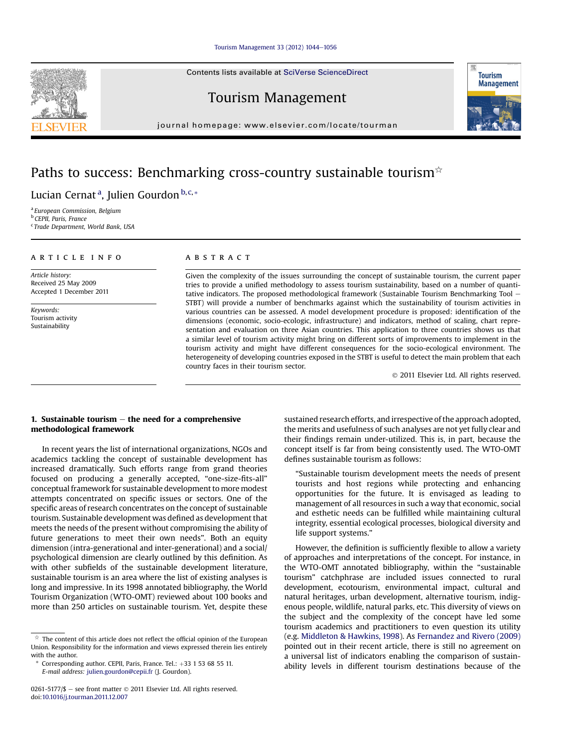### [Tourism Management 33 \(2012\) 1044](http://dx.doi.org/10.1016/j.tourman.2011.12.007)-[1056](http://dx.doi.org/10.1016/j.tourman.2011.12.007)

Contents lists available at SciVerse ScienceDirect

Tourism Management

journal homepage: [www.elsevier.com/locate/tourman](http://www.elsevier.com/locate/tourman)

## Paths to success: Benchmarking cross-country sustainable tourism $\dot{\varphi}$

Lucian Cernat<sup>a</sup>, Julien Gourdon <sup>b,c,</sup>\*

<sup>a</sup> European Commission, Belgium **b** CEPII, Paris, France <sup>c</sup> Trade Department, World Bank, USA

## article info

Article history: Received 25 May 2009 Accepted 1 December 2011

Keywords: Tourism activity Sustainability

## **ABSTRACT**

Given the complexity of the issues surrounding the concept of sustainable tourism, the current paper tries to provide a unified methodology to assess tourism sustainability, based on a number of quantitative indicators. The proposed methodological framework (Sustainable Tourism Benchmarking Tool  $-$ STBT) will provide a number of benchmarks against which the sustainability of tourism activities in various countries can be assessed. A model development procedure is proposed: identification of the dimensions (economic, socio-ecologic, infrastructure) and indicators, method of scaling, chart representation and evaluation on three Asian countries. This application to three countries shows us that a similar level of tourism activity might bring on different sorts of improvements to implement in the tourism activity and might have different consequences for the socio-ecological environment. The heterogeneity of developing countries exposed in the STBT is useful to detect the main problem that each country faces in their tourism sector.

2011 Elsevier Ltd. All rights reserved.

## 1. Sustainable tourism  $-$  the need for a comprehensive methodological framework

In recent years the list of international organizations, NGOs and academics tackling the concept of sustainable development has increased dramatically. Such efforts range from grand theories focused on producing a generally accepted, "one-size-fits-all" conceptual framework for sustainable development to more modest attempts concentrated on specific issues or sectors. One of the specific areas of research concentrates on the concept of sustainable tourism. Sustainable development was defined as development that meets the needs of the present without compromising the ability of future generations to meet their own needs". Both an equity dimension (intra-generational and inter-generational) and a social/ psychological dimension are clearly outlined by this definition. As with other subfields of the sustainable development literature, sustainable tourism is an area where the list of existing analyses is long and impressive. In its 1998 annotated bibliography, the World Tourism Organization (WTO-OMT) reviewed about 100 books and more than 250 articles on sustainable tourism. Yet, despite these sustained research efforts, and irrespective of the approach adopted, the merits and usefulness of such analyses are not yet fully clear and their findings remain under-utilized. This is, in part, because the concept itself is far from being consistently used. The WTO-OMT defines sustainable tourism as follows:

"Sustainable tourism development meets the needs of present tourists and host regions while protecting and enhancing opportunities for the future. It is envisaged as leading to management of all resources in such a way that economic, social and esthetic needs can be fulfilled while maintaining cultural integrity, essential ecological processes, biological diversity and life support systems."

However, the definition is sufficiently flexible to allow a variety of approaches and interpretations of the concept. For instance, in the WTO-OMT annotated bibliography, within the "sustainable tourism" catchphrase are included issues connected to rural development, ecotourism, environmental impact, cultural and natural heritages, urban development, alternative tourism, indigenous people, wildlife, natural parks, etc. This diversity of views on the subject and the complexity of the concept have led some tourism academics and practitioners to even question its utility (e.g. [Middleton & Hawkins, 1998](#page--1-0)). As [Fernandez and Rivero \(2009\)](#page--1-0) pointed out in their recent article, there is still no agreement on a universal list of indicators enabling the comparison of sustainability levels in different tourism destinations because of the





 $\overrightarrow{a}$  The content of this article does not reflect the official opinion of the European Union. Responsibility for the information and views expressed therein lies entirely with the author.

Corresponding author. CEPII, Paris, France. Tel.:  $+33$  1 53 68 55 11. E-mail address: [julien.gourdon@cepii.fr](mailto:julien.gourdon@cepii.fr) (J. Gourdon).

<sup>0261-5177/\$</sup>  $-$  see front matter  $\odot$  2011 Elsevier Ltd. All rights reserved. doi:[10.1016/j.tourman.2011.12.007](http://dx.doi.org/10.1016/j.tourman.2011.12.007)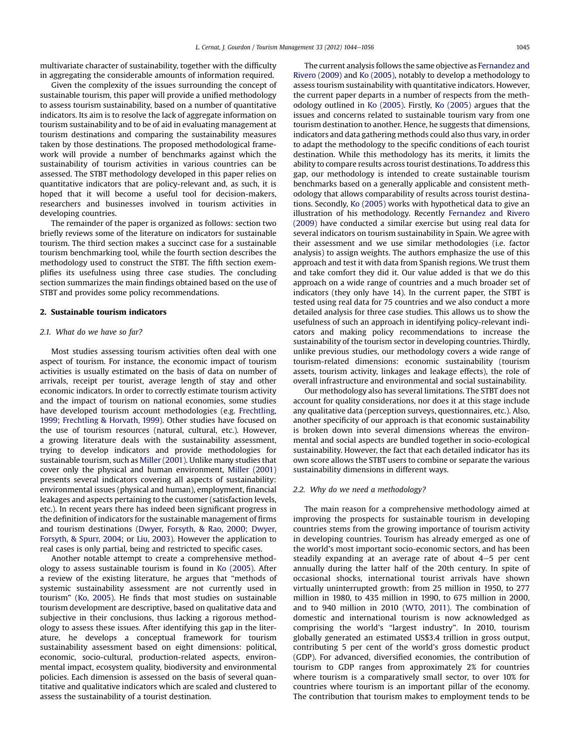multivariate character of sustainability, together with the difficulty in aggregating the considerable amounts of information required.

Given the complexity of the issues surrounding the concept of sustainable tourism, this paper will provide a unified methodology to assess tourism sustainability, based on a number of quantitative indicators. Its aim is to resolve the lack of aggregate information on tourism sustainability and to be of aid in evaluating management at tourism destinations and comparing the sustainability measures taken by those destinations. The proposed methodological framework will provide a number of benchmarks against which the sustainability of tourism activities in various countries can be assessed. The STBT methodology developed in this paper relies on quantitative indicators that are policy-relevant and, as such, it is hoped that it will become a useful tool for decision-makers, researchers and businesses involved in tourism activities in developing countries.

The remainder of the paper is organized as follows: section two briefly reviews some of the literature on indicators for sustainable tourism. The third section makes a succinct case for a sustainable tourism benchmarking tool, while the fourth section describes the methodology used to construct the STBT. The fifth section exemplifies its usefulness using three case studies. The concluding section summarizes the main findings obtained based on the use of STBT and provides some policy recommendations.

#### 2. Sustainable tourism indicators

#### 2.1. What do we have so far?

Most studies assessing tourism activities often deal with one aspect of tourism. For instance, the economic impact of tourism activities is usually estimated on the basis of data on number of arrivals, receipt per tourist, average length of stay and other economic indicators. In order to correctly estimate tourism activity and the impact of tourism on national economies, some studies have developed tourism account methodologies (e.g. [Frechtling,](#page--1-0) [1999; Frechtling & Horvath, 1999](#page--1-0)). Other studies have focused on the use of tourism resources (natural, cultural, etc.). However, a growing literature deals with the sustainability assessment, trying to develop indicators and provide methodologies for sustainable tourism, such as [Miller \(2001\).](#page--1-0) Unlike many studies that cover only the physical and human environment, [Miller \(2001\)](#page--1-0) presents several indicators covering all aspects of sustainability: environmental issues (physical and human), employment, financial leakages and aspects pertaining to the customer (satisfaction levels, etc.). In recent years there has indeed been significant progress in the definition of indicators for the sustainable management of firms and tourism destinations [\(Dwyer, Forsyth, & Rao, 2000; Dwyer,](#page--1-0) [Forsyth, & Spurr, 2004;](#page--1-0) or [Liu, 2003\)](#page--1-0). However the application to real cases is only partial, being and restricted to specific cases.

Another notable attempt to create a comprehensive methodology to assess sustainable tourism is found in [Ko \(2005\)](#page--1-0). After a review of the existing literature, he argues that "methods of systemic sustainability assessment are not currently used in tourism" ([Ko, 2005\)](#page--1-0). He finds that most studies on sustainable tourism development are descriptive, based on qualitative data and subjective in their conclusions, thus lacking a rigorous methodology to assess these issues. After identifying this gap in the literature, he develops a conceptual framework for tourism sustainability assessment based on eight dimensions: political, economic, socio-cultural, production-related aspects, environmental impact, ecosystem quality, biodiversity and environmental policies. Each dimension is assessed on the basis of several quantitative and qualitative indicators which are scaled and clustered to assess the sustainability of a tourist destination.

The current analysis follows the same objective as [Fernandez and](#page--1-0) [Rivero \(2009\)](#page--1-0) and [Ko \(2005\)](#page--1-0), notably to develop a methodology to assess tourism sustainability with quantitative indicators. However, the current paper departs in a number of respects from the methodology outlined in [Ko \(2005\).](#page--1-0) Firstly, [Ko \(2005\)](#page--1-0) argues that the issues and concerns related to sustainable tourism vary from one tourism destination to another. Hence, he suggests that dimensions, indicators and data gathering methods could also thus vary, in order to adapt the methodology to the specific conditions of each tourist destination. While this methodology has its merits, it limits the ability to compare results across tourist destinations. To address this gap, our methodology is intended to create sustainable tourism benchmarks based on a generally applicable and consistent methodology that allows comparability of results across tourist destinations. Secondly, [Ko \(2005\)](#page--1-0) works with hypothetical data to give an illustration of his methodology. Recently [Fernandez and Rivero](#page--1-0) [\(2009\)](#page--1-0) have conducted a similar exercise but using real data for several indicators on tourism sustainability in Spain. We agree with their assessment and we use similar methodologies (i.e. factor analysis) to assign weights. The authors emphasize the use of this approach and test it with data from Spanish regions. We trust them and take comfort they did it. Our value added is that we do this approach on a wide range of countries and a much broader set of indicators (they only have 14). In the current paper, the STBT is tested using real data for 75 countries and we also conduct a more detailed analysis for three case studies. This allows us to show the usefulness of such an approach in identifying policy-relevant indicators and making policy recommendations to increase the sustainability of the tourism sector in developing countries. Thirdly, unlike previous studies, our methodology covers a wide range of tourism-related dimensions: economic sustainability (tourism assets, tourism activity, linkages and leakage effects), the role of overall infrastructure and environmental and social sustainability.

Our methodology also has several limitations. The STBT does not account for quality considerations, nor does it at this stage include any qualitative data (perception surveys, questionnaires, etc.). Also, another specificity of our approach is that economic sustainability is broken down into several dimensions whereas the environmental and social aspects are bundled together in socio-ecological sustainability. However, the fact that each detailed indicator has its own score allows the STBT users to combine or separate the various sustainability dimensions in different ways.

#### 2.2. Why do we need a methodology?

The main reason for a comprehensive methodology aimed at improving the prospects for sustainable tourism in developing countries stems from the growing importance of tourism activity in developing countries. Tourism has already emerged as one of the world's most important socio-economic sectors, and has been steadily expanding at an average rate of about  $4-5$  per cent annually during the latter half of the 20th century. In spite of occasional shocks, international tourist arrivals have shown virtually uninterrupted growth: from 25 million in 1950, to 277 million in 1980, to 435 million in 1990, to 675 million in 2000, and to 940 million in 2010 ([WTO, 2011\)](#page--1-0). The combination of domestic and international tourism is now acknowledged as comprising the world's "largest industry". In 2010, tourism globally generated an estimated US\$3.4 trillion in gross output, contributing 5 per cent of the world's gross domestic product (GDP). For advanced, diversified economies, the contribution of tourism to GDP ranges from approximately 2% for countries where tourism is a comparatively small sector, to over 10% for countries where tourism is an important pillar of the economy. The contribution that tourism makes to employment tends to be